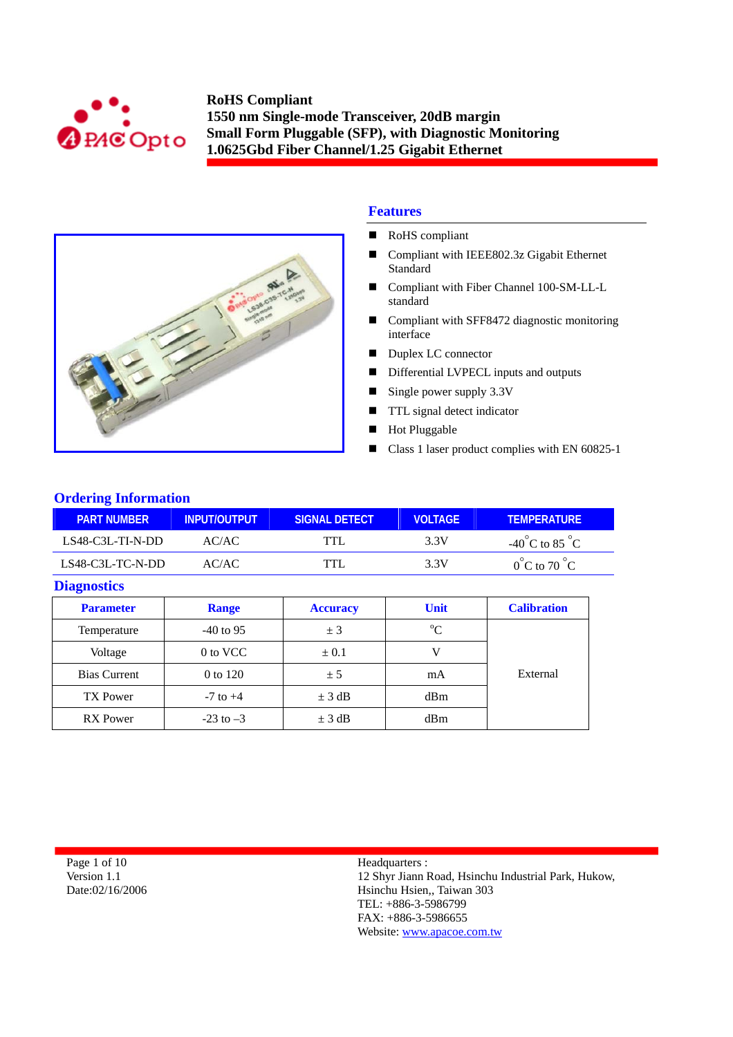



## **Features**

- RoHS compliant
- Compliant with IEEE802.3z Gigabit Ethernet Standard
- Compliant with Fiber Channel 100-SM-LL-L standard
- Compliant with SFF8472 diagnostic monitoring interface
- Duplex LC connector
- Differential LVPECL inputs and outputs
- Single power supply 3.3V
- **TTL** signal detect indicator
- **Hot Pluggable**
- Class 1 laser product complies with EN 60825-1

## **Ordering Information**

| <b>PART NUMBER</b> | INPUT/OUTPUT | SIGNAL DETECT | <b>VOLTAGE</b> | <b>TEMPERATURE</b>                 |
|--------------------|--------------|---------------|----------------|------------------------------------|
| $LS48-C3L-TL-N-DD$ | AC/AC        | TTL           | 3.3V           | $-40^{\circ}$ C to 85 $^{\circ}$ C |
| LS48-C3L-TC-N-DD   | AC/AC        | <b>TTL</b>    | 3.3V           | $0^{\circ}$ C to 70 $^{\circ}$ C   |

#### **Diagnostics**

| <b>Parameter</b>    | <b>Range</b>  | <b>Unit</b><br><b>Accuracy</b> |             | <b>Calibration</b> |
|---------------------|---------------|--------------------------------|-------------|--------------------|
| Temperature         | $-40$ to 95   | ± 3                            | $\rm ^{o}C$ |                    |
| Voltage             | 0 to VCC      | $\pm 0.1$                      |             |                    |
| <b>Bias Current</b> | 0 to 120      | ± 5                            | mA          | External           |
| <b>TX Power</b>     | $-7$ to $+4$  | $\pm$ 3 dB                     | dBm         |                    |
| <b>RX</b> Power     | $-23$ to $-3$ | $\pm$ 3 dB                     | dBm         |                    |

Page 1 of 10 Version 1.1 Date:02/16/2006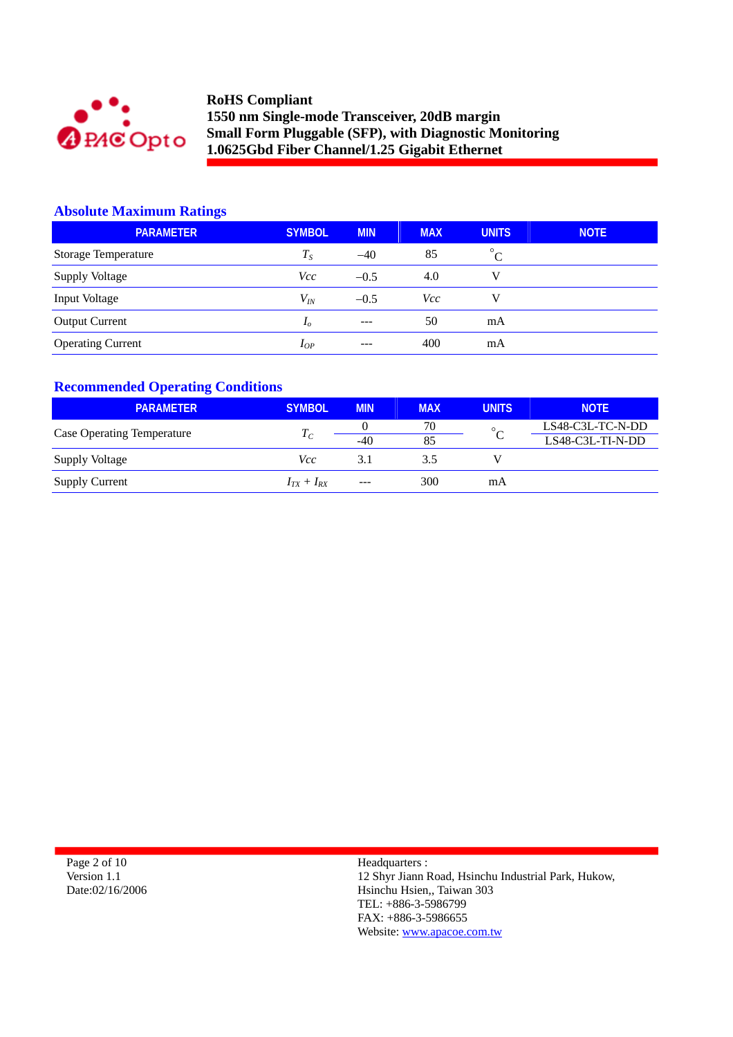

## **Absolute Maximum Ratings**

| <b>PARAMETER</b>         | <b>SYMBOL</b>  | <b>MIN</b> | <b>MAX</b> | <b>UNITS</b> | <b>NOTE</b> |
|--------------------------|----------------|------------|------------|--------------|-------------|
| Storage Temperature      | $T_{S}$        | $-40$      | 85         | $^{\circ}$ C |             |
| Supply Voltage           | Vcc            | $-0.5$     | 4.0        | v            |             |
| Input Voltage            | $V_{I\!N}$     | $-0.5$     | <b>Vcc</b> | V            |             |
| <b>Output Current</b>    | I <sub>o</sub> | $---$      | 50         | mA           |             |
| <b>Operating Current</b> | $I_{OP}$       | $---$      | 400        | mA           |             |

# **Recommended Operating Conditions**

| <b>PARAMETER</b>                  | <b>SYMBOL</b>   | <b>MIN</b> | <b>MAX</b> | <b>UNITS</b> | <b>NOTE</b>      |
|-----------------------------------|-----------------|------------|------------|--------------|------------------|
| <b>Case Operating Temperature</b> | $T_C$           |            | 70         | $\circ$      | LS48-C3L-TC-N-DD |
|                                   |                 | $-40$      | 85         |              | LS48-C3L-TI-N-DD |
| Supply Voltage                    | Vcc             | 3.1        | 3.5        |              |                  |
| <b>Supply Current</b>             | $I_{TX}+I_{RX}$ | $---$      | 300        | mA           |                  |

| Page 2 of 10    |
|-----------------|
| Version 1.1     |
| Date:02/16/2006 |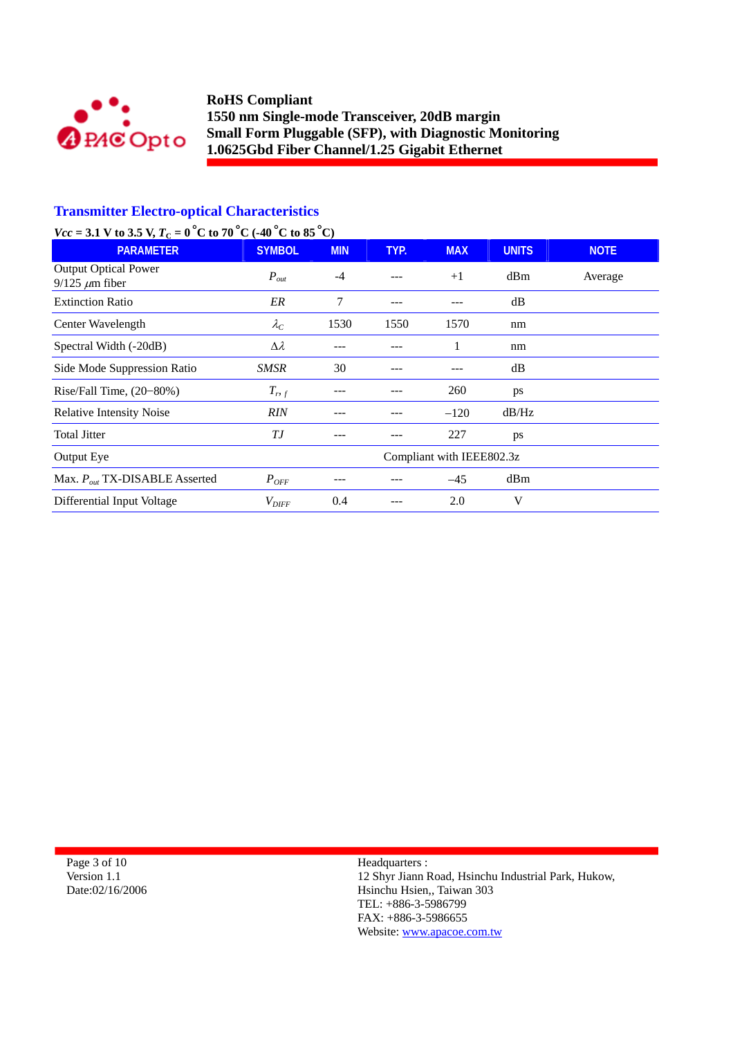

# **Transmitter Electro-optical Characteristics**

# *Vcc* = 3.1 V to 3.5 V,  $T_c = 0^\circ$ C to 70 °C (-40 °C to 85 °C)

| <b>PARAMETER</b>                                     | <b>SYMBOL</b>     | <b>MIN</b> | TYP. | <b>MAX</b>                | <b>UNITS</b> | <b>NOTE</b> |
|------------------------------------------------------|-------------------|------------|------|---------------------------|--------------|-------------|
| <b>Output Optical Power</b><br>$9/125 \ \mu m$ fiber | $P_{out}$         | $-4$       | ---  | $+1$                      | dBm          | Average     |
| <b>Extinction Ratio</b>                              | ER                | 7          | ---  |                           | dB           |             |
| Center Wavelength                                    | $\lambda_C$       | 1530       | 1550 | 1570                      | nm           |             |
| Spectral Width (-20dB)                               | $\Delta \lambda$  |            |      | 1                         | nm           |             |
| Side Mode Suppression Ratio                          | SMSR              | 30         | ---  |                           | dB           |             |
| Rise/Fall Time, $(20-80%)$                           | $T_{r,f}$         |            |      | 260                       | ps           |             |
| <b>Relative Intensity Noise</b>                      | <b>RIN</b>        |            |      | $-120$                    | dB/Hz        |             |
| <b>Total Jitter</b>                                  | ТJ                |            |      | 227                       | ps           |             |
| Output Eye                                           |                   |            |      | Compliant with IEEE802.3z |              |             |
| Max. $P_{out}$ TX-DISABLE Asserted                   | $P_{OFF}$         |            |      | $-45$                     | dBm          |             |
| Differential Input Voltage                           | $V_{\text{DIFF}}$ | 0.4        |      | 2.0                       | V            |             |

Page 3 of 10 Version 1.1 Date:02/16/2006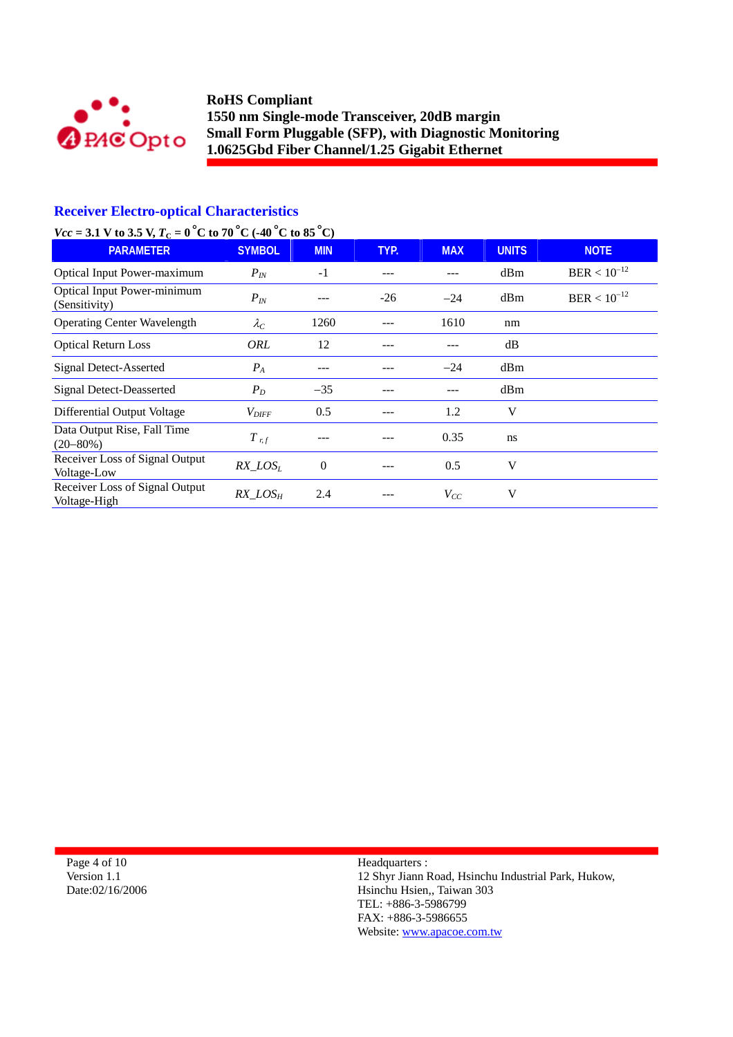

# **Receiver Electro-optical Characteristics**

# *Vcc* = 3.1 V to 3.5 V,  $T_c = 0^\circ$ C to 70 °C (-40 °C to 85 °C)

| <b>PARAMETER</b>                               | <b>SYMBOL</b>       | <b>MIN</b>     | TYP.  | <b>MAX</b> | <b>UNITS</b> | <b>NOTE</b>      |
|------------------------------------------------|---------------------|----------------|-------|------------|--------------|------------------|
| <b>Optical Input Power-maximum</b>             | $P_{IN}$            | $-1$           |       |            | dBm          | $BER < 10^{-12}$ |
| Optical Input Power-minimum<br>(Sensitivity)   | $P_{IN}$            |                | $-26$ | $-24$      | dBm          | $BER < 10^{-12}$ |
| <b>Operating Center Wavelength</b>             | $\lambda_C$         | 1260           |       | 1610       | nm           |                  |
| <b>Optical Return Loss</b>                     | ORL                 | 12             |       |            | dB           |                  |
| <b>Signal Detect-Asserted</b>                  | $P_{A}$             | ---            |       | $-24$      | dBm          |                  |
| <b>Signal Detect-Deasserted</b>                | $P_D$               | $-35$          |       |            | dBm          |                  |
| Differential Output Voltage                    | $V_{\textit{DIFF}}$ | 0.5            |       | 1.2        | V            |                  |
| Data Output Rise, Fall Time<br>$(20 - 80\%)$   | $T$ r, f            |                |       | 0.35       | ns           |                  |
| Receiver Loss of Signal Output<br>Voltage-Low  | $RX$ $LOS_L$        | $\overline{0}$ |       | 0.5        | V            |                  |
| Receiver Loss of Signal Output<br>Voltage-High | $RX$ $LOS_H$        | 2.4            |       | $V_{CC}$   | V            |                  |

Page 4 of 10 Version 1.1 Date:02/16/2006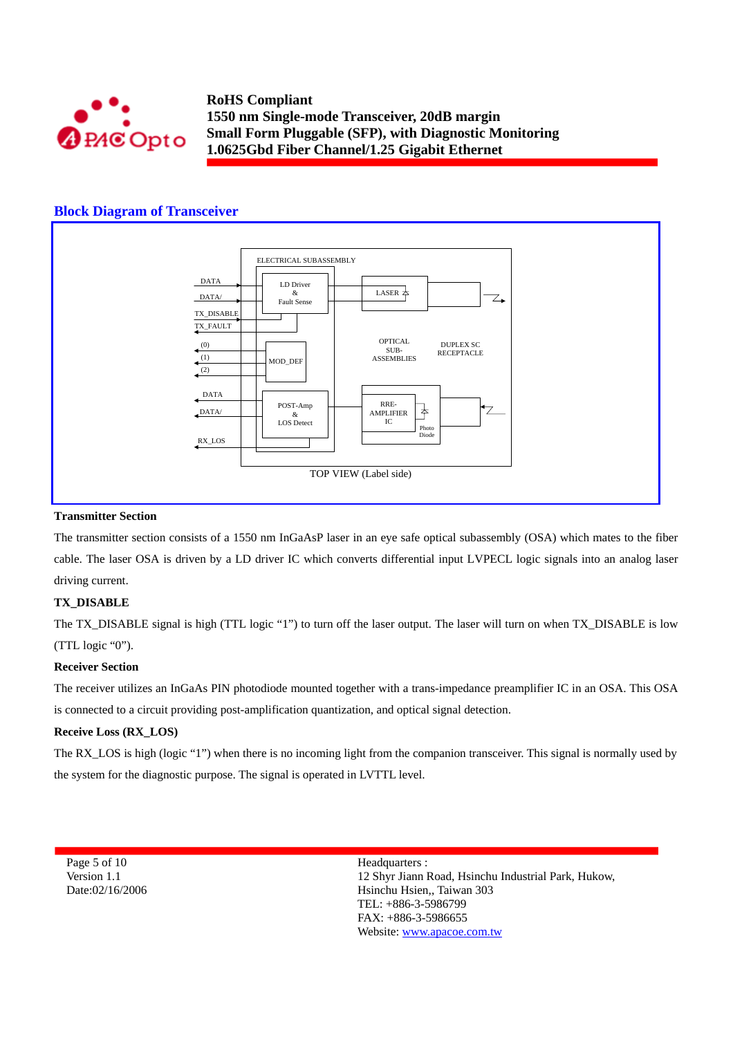

## **Block Diagram of Transceiver**



#### **Transmitter Section**

The transmitter section consists of a 1550 nm InGaAsP laser in an eye safe optical subassembly (OSA) which mates to the fiber cable. The laser OSA is driven by a LD driver IC which converts differential input LVPECL logic signals into an analog laser driving current.

### **TX\_DISABLE**

The TX\_DISABLE signal is high (TTL logic "1") to turn off the laser output. The laser will turn on when TX\_DISABLE is low (TTL logic "0").

### **Receiver Section**

The receiver utilizes an InGaAs PIN photodiode mounted together with a trans-impedance preamplifier IC in an OSA. This OSA is connected to a circuit providing post-amplification quantization, and optical signal detection.

### **Receive Loss (RX\_LOS)**

The RX\_LOS is high (logic "1") when there is no incoming light from the companion transceiver. This signal is normally used by the system for the diagnostic purpose. The signal is operated in LVTTL level.

Page 5 of 10 Version 1.1 Date:02/16/2006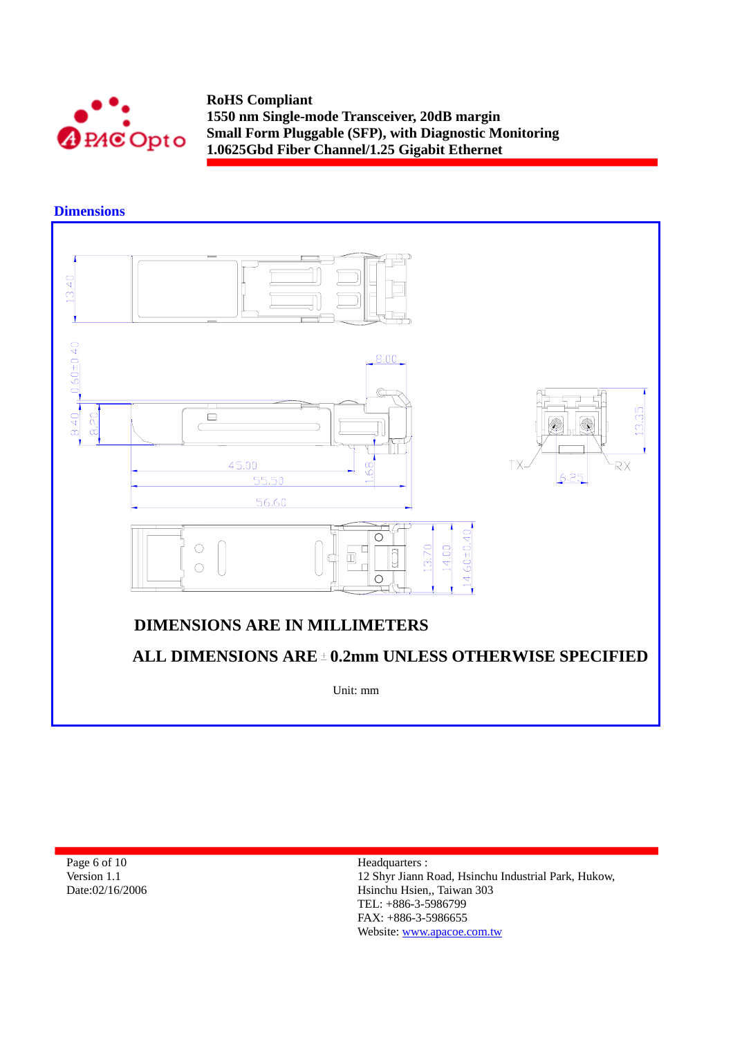

**Dimensions** 



Page 6 of 10 Version 1.1 Date:02/16/2006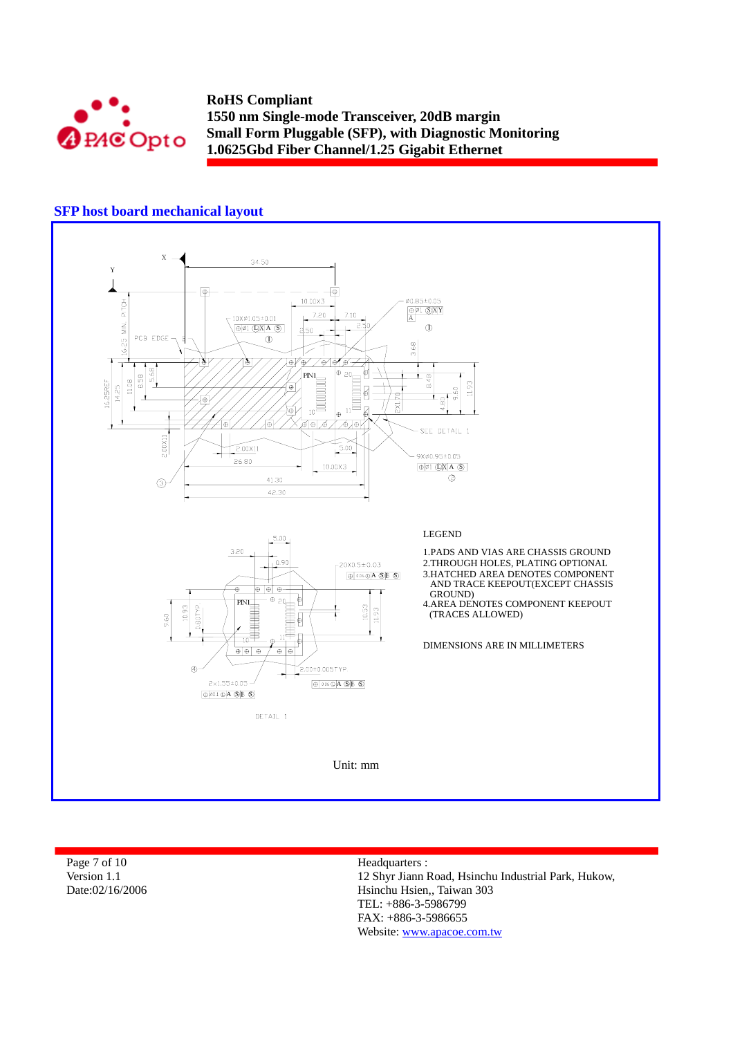

# **SFP host board mechanical layout**



| Page 7 of 10    | Headquarters :           |
|-----------------|--------------------------|
| Version 1.1     | 12 Shyr Jiann Road, Hsir |
| Date:02/16/2006 | Hsinchu Hsien., Taiwan   |
|                 | TEL: $+886-3-5986799$    |
|                 |                          |

nchu Industrial Park, Hukow, 303 FAX: +886-3-5986655 Website: www.apacoe.com.tw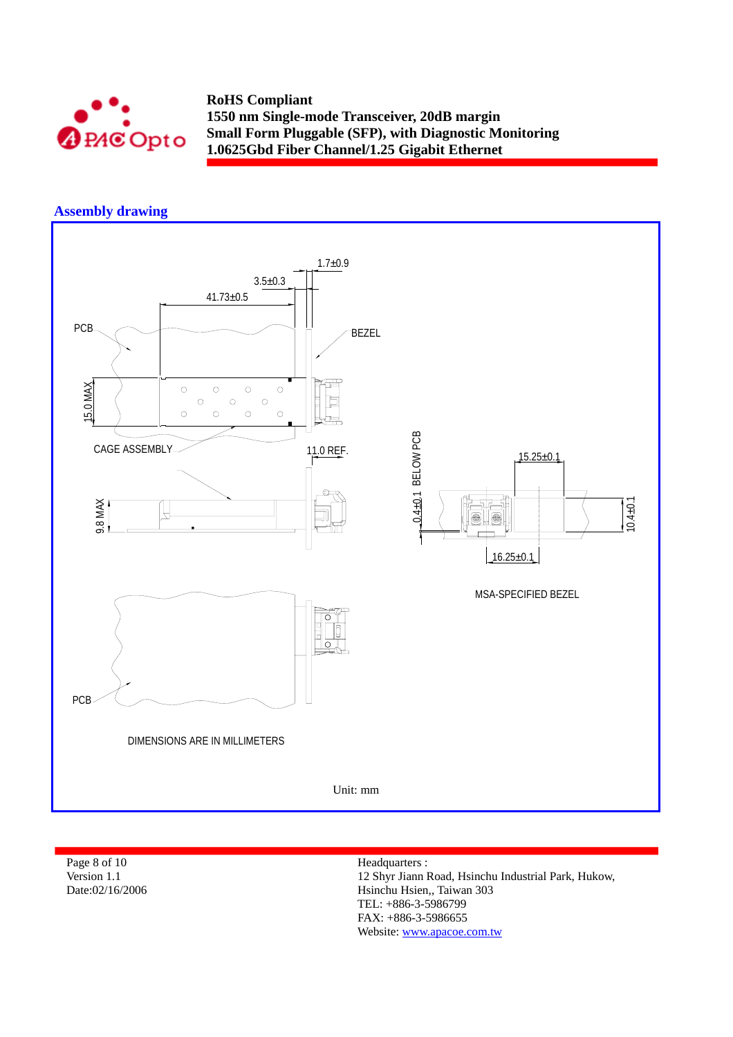

## **Assembly drawing**



Page 8 of 10 Version 1.1 Date:02/16/2006 Headquarters :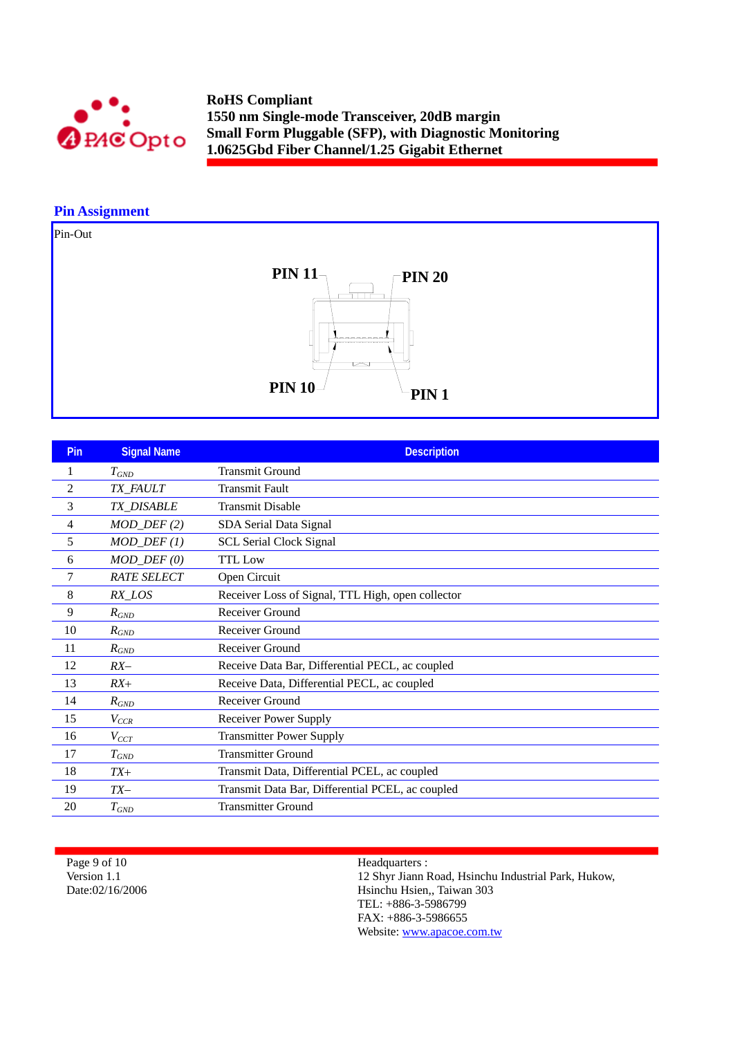

## **Pin Assignment**

Pin-Out



| <b>Pin</b>     | <b>Signal Name</b>          | <b>Description</b>                                |
|----------------|-----------------------------|---------------------------------------------------|
| 1              | $T_{GND}$                   | <b>Transmit Ground</b>                            |
| $\overline{c}$ | TX_FAULT                    | <b>Transmit Fault</b>                             |
| 3              | TX_DISABLE                  | <b>Transmit Disable</b>                           |
| 4              | $MOD_DEF(2)$                | SDA Serial Data Signal                            |
| 5              | $MOD_$ <del>DEF</del> $(1)$ | <b>SCL Serial Clock Signal</b>                    |
| 6              | $MOD_$ $DEF (0)$            | <b>TTL</b> Low                                    |
| 7              | <b>RATE SELECT</b>          | Open Circuit                                      |
| 8              | $RX\_LOS$                   | Receiver Loss of Signal, TTL High, open collector |
| 9              | $R_{GND}$                   | <b>Receiver Ground</b>                            |
| 10             | $R_{GND}$                   | Receiver Ground                                   |
| 11             | $R_{GND}$                   | Receiver Ground                                   |
| 12             | $RX-$                       | Receive Data Bar, Differential PECL, ac coupled   |
| 13             | $RX+$                       | Receive Data, Differential PECL, ac coupled       |
| 14             | $R_{GND}$                   | Receiver Ground                                   |
| 15             | $V_{CCR}$                   | <b>Receiver Power Supply</b>                      |
| 16             | $V_{CCT}$                   | <b>Transmitter Power Supply</b>                   |
| 17             | $T_{GND}$                   | <b>Transmitter Ground</b>                         |
| 18             | $TX+$                       | Transmit Data, Differential PCEL, ac coupled      |
| 19             | $TX-$                       | Transmit Data Bar, Differential PCEL, ac coupled  |
| 20             | $T_{GND}$                   | <b>Transmitter Ground</b>                         |

Page 9 of 10 Version 1.1 Date:02/16/2006